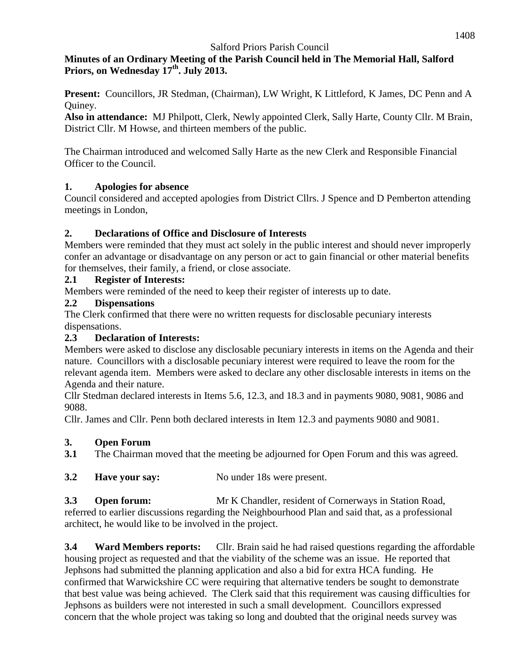### **Minutes of an Ordinary Meeting of the Parish Council held in The Memorial Hall, Salford Priors, on Wednesday 17 th . July 2013.**

**Present:** Councillors, JR Stedman, (Chairman), LW Wright, K Littleford, K James, DC Penn and A Quiney.

**Also in attendance:** MJ Philpott, Clerk, Newly appointed Clerk, Sally Harte, County Cllr. M Brain, District Cllr. M Howse, and thirteen members of the public.

The Chairman introduced and welcomed Sally Harte as the new Clerk and Responsible Financial Officer to the Council.

## **1. Apologies for absence**

Council considered and accepted apologies from District Cllrs. J Spence and D Pemberton attending meetings in London,

## **2. Declarations of Office and Disclosure of Interests**

Members were reminded that they must act solely in the public interest and should never improperly confer an advantage or disadvantage on any person or act to gain financial or other material benefits for themselves, their family, a friend, or close associate.

## **2.1 Register of Interests:**

Members were reminded of the need to keep their register of interests up to date.

## **2.2 Dispensations**

The Clerk confirmed that there were no written requests for disclosable pecuniary interests dispensations.

# **2.3 Declaration of Interests:**

Members were asked to disclose any disclosable pecuniary interests in items on the Agenda and their nature. Councillors with a disclosable pecuniary interest were required to leave the room for the relevant agenda item. Members were asked to declare any other disclosable interests in items on the Agenda and their nature.

Cllr Stedman declared interests in Items 5.6, 12.3, and 18.3 and in payments 9080, 9081, 9086 and 9088.

Cllr. James and Cllr. Penn both declared interests in Item 12.3 and payments 9080 and 9081.

# **3. Open Forum**

**3.1** The Chairman moved that the meeting be adjourned for Open Forum and this was agreed.

**3.2 Have your say:** No under 18s were present.

**3.3 •• Open forum:** Mr K Chandler, resident of Cornerways in Station Road, referred to earlier discussions regarding the Neighbourhood Plan and said that, as a professional architect, he would like to be involved in the project.

**3.4 Ward Members reports:** Cllr. Brain said he had raised questions regarding the affordable housing project as requested and that the viability of the scheme was an issue. He reported that Jephsons had submitted the planning application and also a bid for extra HCA funding. He confirmed that Warwickshire CC were requiring that alternative tenders be sought to demonstrate that best value was being achieved. The Clerk said that this requirement was causing difficulties for Jephsons as builders were not interested in such a small development. Councillors expressed concern that the whole project was taking so long and doubted that the original needs survey was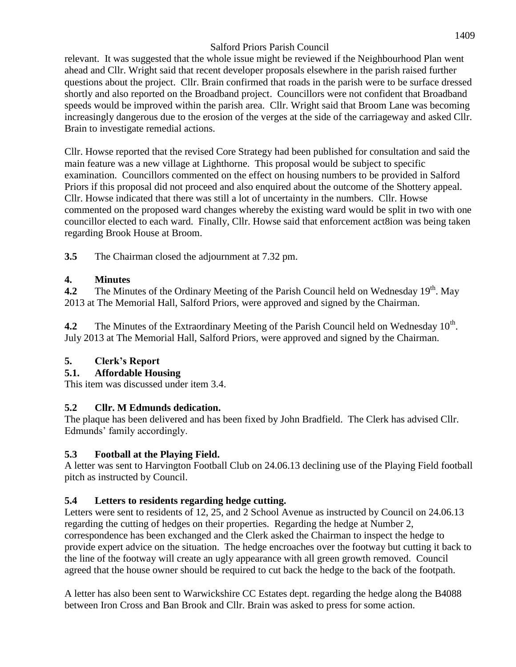relevant. It was suggested that the whole issue might be reviewed if the Neighbourhood Plan went ahead and Cllr. Wright said that recent developer proposals elsewhere in the parish raised further questions about the project. Cllr. Brain confirmed that roads in the parish were to be surface dressed shortly and also reported on the Broadband project. Councillors were not confident that Broadband speeds would be improved within the parish area. Cllr. Wright said that Broom Lane was becoming increasingly dangerous due to the erosion of the verges at the side of the carriageway and asked Cllr. Brain to investigate remedial actions.

Cllr. Howse reported that the revised Core Strategy had been published for consultation and said the main feature was a new village at Lighthorne. This proposal would be subject to specific examination. Councillors commented on the effect on housing numbers to be provided in Salford Priors if this proposal did not proceed and also enquired about the outcome of the Shottery appeal. Cllr. Howse indicated that there was still a lot of uncertainty in the numbers. Cllr. Howse commented on the proposed ward changes whereby the existing ward would be split in two with one councillor elected to each ward. Finally, Cllr. Howse said that enforcement act8ion was being taken regarding Brook House at Broom.

**3.5** The Chairman closed the adjournment at 7.32 pm.

## **4. Minutes**

4.2 The Minutes of the Ordinary Meeting of the Parish Council held on Wednesday 19<sup>th</sup>. May 2013 at The Memorial Hall, Salford Priors, were approved and signed by the Chairman.

4.2 The Minutes of the Extraordinary Meeting of the Parish Council held on Wednesday 10<sup>th</sup>. July 2013 at The Memorial Hall, Salford Priors, were approved and signed by the Chairman.

# **5. Clerk's Report**

### **5.1. Affordable Housing**

This item was discussed under item 3.4.

### **5.2 Cllr. M Edmunds dedication.**

The plaque has been delivered and has been fixed by John Bradfield. The Clerk has advised Cllr. Edmunds' family accordingly.

# **5.3 Football at the Playing Field.**

A letter was sent to Harvington Football Club on 24.06.13 declining use of the Playing Field football pitch as instructed by Council.

### **5.4 Letters to residents regarding hedge cutting.**

Letters were sent to residents of 12, 25, and 2 School Avenue as instructed by Council on 24.06.13 regarding the cutting of hedges on their properties. Regarding the hedge at Number 2, correspondence has been exchanged and the Clerk asked the Chairman to inspect the hedge to provide expert advice on the situation. The hedge encroaches over the footway but cutting it back to the line of the footway will create an ugly appearance with all green growth removed. Council agreed that the house owner should be required to cut back the hedge to the back of the footpath.

A letter has also been sent to Warwickshire CC Estates dept. regarding the hedge along the B4088 between Iron Cross and Ban Brook and Cllr. Brain was asked to press for some action.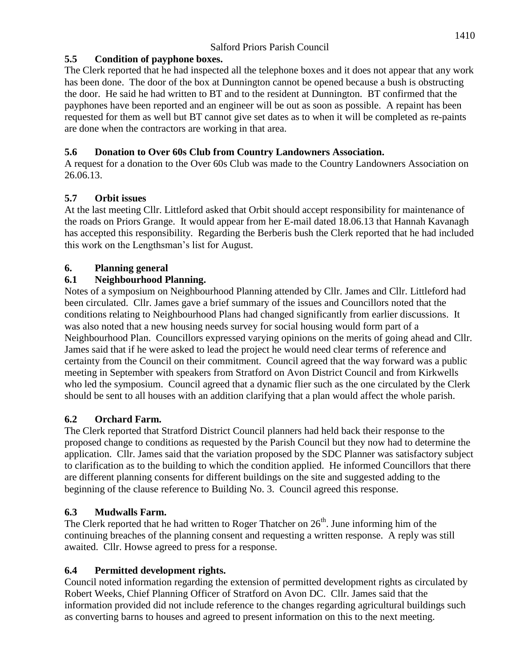## **5.5 Condition of payphone boxes.**

The Clerk reported that he had inspected all the telephone boxes and it does not appear that any work has been done. The door of the box at Dunnington cannot be opened because a bush is obstructing the door. He said he had written to BT and to the resident at Dunnington. BT confirmed that the payphones have been reported and an engineer will be out as soon as possible. A repaint has been requested for them as well but BT cannot give set dates as to when it will be completed as re-paints are done when the contractors are working in that area.

# **5.6 Donation to Over 60s Club from Country Landowners Association.**

A request for a donation to the Over 60s Club was made to the Country Landowners Association on 26.06.13.

# **5.7 Orbit issues**

At the last meeting Cllr. Littleford asked that Orbit should accept responsibility for maintenance of the roads on Priors Grange. It would appear from her E-mail dated 18.06.13 that Hannah Kavanagh has accepted this responsibility. Regarding the Berberis bush the Clerk reported that he had included this work on the Lengthsman's list for August.

# **6. Planning general**

# **6.1 Neighbourhood Planning.**

Notes of a symposium on Neighbourhood Planning attended by Cllr. James and Cllr. Littleford had been circulated. Cllr. James gave a brief summary of the issues and Councillors noted that the conditions relating to Neighbourhood Plans had changed significantly from earlier discussions. It was also noted that a new housing needs survey for social housing would form part of a Neighbourhood Plan. Councillors expressed varying opinions on the merits of going ahead and Cllr. James said that if he were asked to lead the project he would need clear terms of reference and certainty from the Council on their commitment. Council agreed that the way forward was a public meeting in September with speakers from Stratford on Avon District Council and from Kirkwells who led the symposium. Council agreed that a dynamic flier such as the one circulated by the Clerk should be sent to all houses with an addition clarifying that a plan would affect the whole parish.

# **6.2 Orchard Farm.**

The Clerk reported that Stratford District Council planners had held back their response to the proposed change to conditions as requested by the Parish Council but they now had to determine the application. Cllr. James said that the variation proposed by the SDC Planner was satisfactory subject to clarification as to the building to which the condition applied. He informed Councillors that there are different planning consents for different buildings on the site and suggested adding to the beginning of the clause reference to Building No. 3. Council agreed this response.

# **6.3 Mudwalls Farm.**

The Clerk reported that he had written to Roger Thatcher on  $26<sup>th</sup>$ . June informing him of the continuing breaches of the planning consent and requesting a written response. A reply was still awaited. Cllr. Howse agreed to press for a response.

# **6.4 Permitted development rights.**

Council noted information regarding the extension of permitted development rights as circulated by Robert Weeks, Chief Planning Officer of Stratford on Avon DC. Cllr. James said that the information provided did not include reference to the changes regarding agricultural buildings such as converting barns to houses and agreed to present information on this to the next meeting.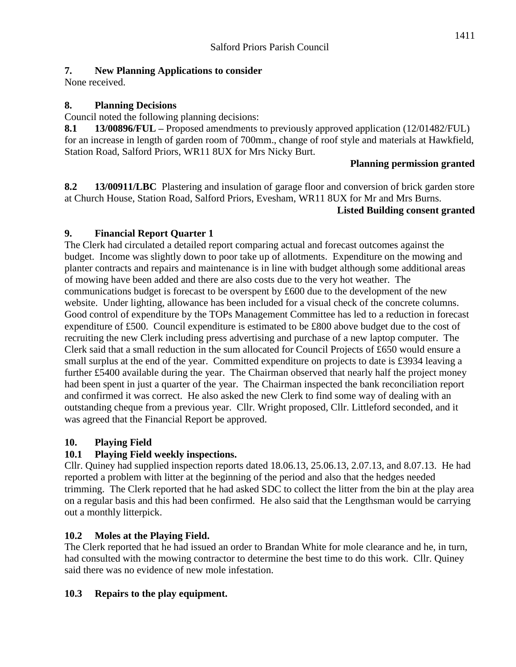#### **7. New Planning Applications to consider**

None received.

#### **8. Planning Decisions**

Council noted the following planning decisions:

**8.1 13/00896/FUL –** Proposed amendments to previously approved application (12/01482/FUL) for an increase in length of garden room of 700mm., change of roof style and materials at Hawkfield, Station Road, Salford Priors, WR11 8UX for Mrs Nicky Burt.

#### **Planning permission granted**

**8.2 13/00911/LBC** Plastering and insulation of garage floor and conversion of brick garden store at Church House, Station Road, Salford Priors, Evesham, WR11 8UX for Mr and Mrs Burns.

#### **Listed Building consent granted**

#### **9. Financial Report Quarter 1**

The Clerk had circulated a detailed report comparing actual and forecast outcomes against the budget. Income was slightly down to poor take up of allotments. Expenditure on the mowing and planter contracts and repairs and maintenance is in line with budget although some additional areas of mowing have been added and there are also costs due to the very hot weather. The communications budget is forecast to be overspent by £600 due to the development of the new website. Under lighting, allowance has been included for a visual check of the concrete columns. Good control of expenditure by the TOPs Management Committee has led to a reduction in forecast expenditure of £500. Council expenditure is estimated to be £800 above budget due to the cost of recruiting the new Clerk including press advertising and purchase of a new laptop computer. The Clerk said that a small reduction in the sum allocated for Council Projects of £650 would ensure a small surplus at the end of the year. Committed expenditure on projects to date is £3934 leaving a further £5400 available during the year. The Chairman observed that nearly half the project money had been spent in just a quarter of the year. The Chairman inspected the bank reconciliation report and confirmed it was correct. He also asked the new Clerk to find some way of dealing with an outstanding cheque from a previous year. Cllr. Wright proposed, Cllr. Littleford seconded, and it was agreed that the Financial Report be approved.

### **10. Playing Field**

### **10.1 Playing Field weekly inspections.**

Cllr. Quiney had supplied inspection reports dated 18.06.13, 25.06.13, 2.07.13, and 8.07.13. He had reported a problem with litter at the beginning of the period and also that the hedges needed trimming. The Clerk reported that he had asked SDC to collect the litter from the bin at the play area on a regular basis and this had been confirmed. He also said that the Lengthsman would be carrying out a monthly litterpick.

### **10.2 Moles at the Playing Field.**

The Clerk reported that he had issued an order to Brandan White for mole clearance and he, in turn, had consulted with the mowing contractor to determine the best time to do this work. Cllr. Quiney said there was no evidence of new mole infestation.

#### **10.3 Repairs to the play equipment.**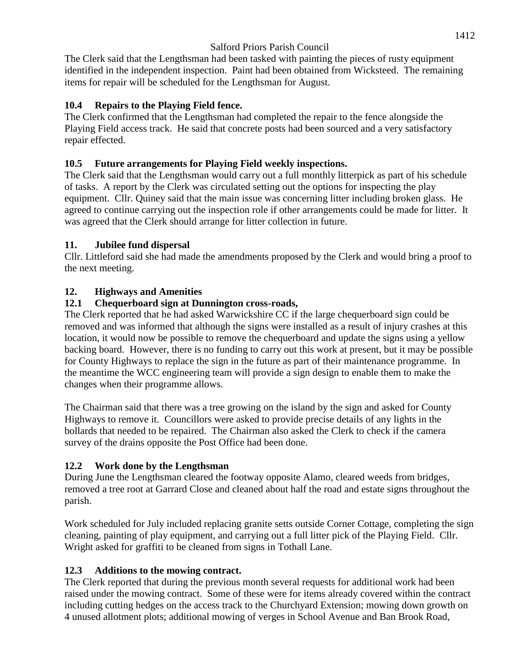The Clerk said that the Lengthsman had been tasked with painting the pieces of rusty equipment identified in the independent inspection. Paint had been obtained from Wicksteed. The remaining items for repair will be scheduled for the Lengthsman for August.

### **10.4 Repairs to the Playing Field fence.**

The Clerk confirmed that the Lengthsman had completed the repair to the fence alongside the Playing Field access track. He said that concrete posts had been sourced and a very satisfactory repair effected.

## **10.5 Future arrangements for Playing Field weekly inspections.**

The Clerk said that the Lengthsman would carry out a full monthly litterpick as part of his schedule of tasks. A report by the Clerk was circulated setting out the options for inspecting the play equipment. Cllr. Quiney said that the main issue was concerning litter including broken glass. He agreed to continue carrying out the inspection role if other arrangements could be made for litter. It was agreed that the Clerk should arrange for litter collection in future.

### **11. Jubilee fund dispersal**

Cllr. Littleford said she had made the amendments proposed by the Clerk and would bring a proof to the next meeting.

### **12. Highways and Amenities**

### **12.1 Chequerboard sign at Dunnington cross-roads,**

The Clerk reported that he had asked Warwickshire CC if the large chequerboard sign could be removed and was informed that although the signs were installed as a result of injury crashes at this location, it would now be possible to remove the chequerboard and update the signs using a yellow backing board. However, there is no funding to carry out this work at present, but it may be possible for County Highways to replace the sign in the future as part of their maintenance programme. In the meantime the WCC engineering team will provide a sign design to enable them to make the changes when their programme allows.

The Chairman said that there was a tree growing on the island by the sign and asked for County Highways to remove it. Councillors were asked to provide precise details of any lights in the bollards that needed to be repaired. The Chairman also asked the Clerk to check if the camera survey of the drains opposite the Post Office had been done.

### **12.2 Work done by the Lengthsman**

During June the Lengthsman cleared the footway opposite Alamo, cleared weeds from bridges, removed a tree root at Garrard Close and cleaned about half the road and estate signs throughout the parish.

Work scheduled for July included replacing granite setts outside Corner Cottage, completing the sign cleaning, painting of play equipment, and carrying out a full litter pick of the Playing Field. Cllr. Wright asked for graffiti to be cleaned from signs in Tothall Lane.

### **12.3 Additions to the mowing contract.**

The Clerk reported that during the previous month several requests for additional work had been raised under the mowing contract. Some of these were for items already covered within the contract including cutting hedges on the access track to the Churchyard Extension; mowing down growth on 4 unused allotment plots; additional mowing of verges in School Avenue and Ban Brook Road,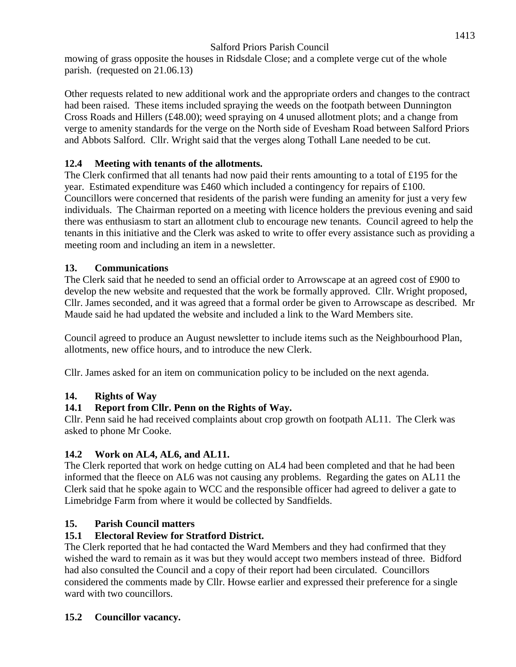mowing of grass opposite the houses in Ridsdale Close; and a complete verge cut of the whole parish. (requested on 21.06.13)

Other requests related to new additional work and the appropriate orders and changes to the contract had been raised. These items included spraying the weeds on the footpath between Dunnington Cross Roads and Hillers (£48.00); weed spraying on 4 unused allotment plots; and a change from verge to amenity standards for the verge on the North side of Evesham Road between Salford Priors and Abbots Salford. Cllr. Wright said that the verges along Tothall Lane needed to be cut.

## **12.4 Meeting with tenants of the allotments.**

The Clerk confirmed that all tenants had now paid their rents amounting to a total of £195 for the year. Estimated expenditure was £460 which included a contingency for repairs of £100. Councillors were concerned that residents of the parish were funding an amenity for just a very few individuals. The Chairman reported on a meeting with licence holders the previous evening and said there was enthusiasm to start an allotment club to encourage new tenants. Council agreed to help the tenants in this initiative and the Clerk was asked to write to offer every assistance such as providing a meeting room and including an item in a newsletter.

## **13. Communications**

The Clerk said that he needed to send an official order to Arrowscape at an agreed cost of £900 to develop the new website and requested that the work be formally approved. Cllr. Wright proposed, Cllr. James seconded, and it was agreed that a formal order be given to Arrowscape as described. Mr Maude said he had updated the website and included a link to the Ward Members site.

Council agreed to produce an August newsletter to include items such as the Neighbourhood Plan, allotments, new office hours, and to introduce the new Clerk.

Cllr. James asked for an item on communication policy to be included on the next agenda.

# **14. Rights of Way**

# **14.1 Report from Cllr. Penn on the Rights of Way.**

Cllr. Penn said he had received complaints about crop growth on footpath AL11. The Clerk was asked to phone Mr Cooke.

# **14.2 Work on AL4, AL6, and AL11.**

The Clerk reported that work on hedge cutting on AL4 had been completed and that he had been informed that the fleece on AL6 was not causing any problems. Regarding the gates on AL11 the Clerk said that he spoke again to WCC and the responsible officer had agreed to deliver a gate to Limebridge Farm from where it would be collected by Sandfields.

# **15. Parish Council matters**

# **15.1 Electoral Review for Stratford District.**

The Clerk reported that he had contacted the Ward Members and they had confirmed that they wished the ward to remain as it was but they would accept two members instead of three. Bidford had also consulted the Council and a copy of their report had been circulated. Councillors considered the comments made by Cllr. Howse earlier and expressed their preference for a single ward with two councillors.

### **15.2 Councillor vacancy.**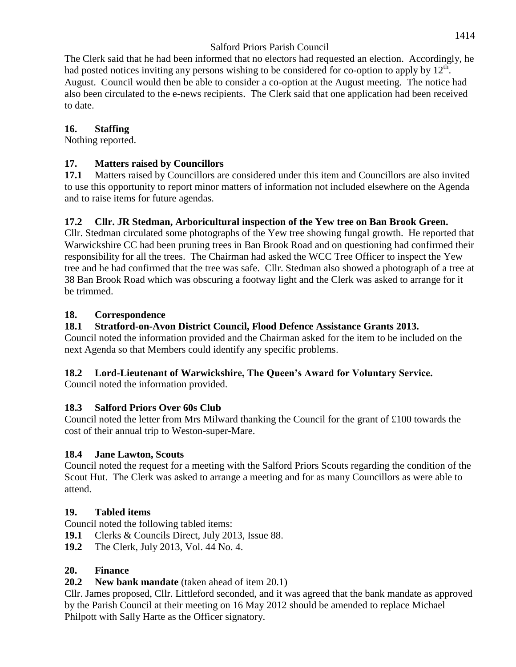The Clerk said that he had been informed that no electors had requested an election. Accordingly, he had posted notices inviting any persons wishing to be considered for co-option to apply by  $12^{\text{th}}$ . August. Council would then be able to consider a co-option at the August meeting. The notice had also been circulated to the e-news recipients. The Clerk said that one application had been received to date.

#### **16. Staffing**

Nothing reported.

#### **17. Matters raised by Councillors**

**17.1** Matters raised by Councillors are considered under this item and Councillors are also invited to use this opportunity to report minor matters of information not included elsewhere on the Agenda and to raise items for future agendas.

#### **17.2 Cllr. JR Stedman, Arboricultural inspection of the Yew tree on Ban Brook Green.**

Cllr. Stedman circulated some photographs of the Yew tree showing fungal growth. He reported that Warwickshire CC had been pruning trees in Ban Brook Road and on questioning had confirmed their responsibility for all the trees. The Chairman had asked the WCC Tree Officer to inspect the Yew tree and he had confirmed that the tree was safe. Cllr. Stedman also showed a photograph of a tree at 38 Ban Brook Road which was obscuring a footway light and the Clerk was asked to arrange for it be trimmed.

#### **18. Correspondence**

### **18.1 Stratford-on-Avon District Council, Flood Defence Assistance Grants 2013.**

Council noted the information provided and the Chairman asked for the item to be included on the next Agenda so that Members could identify any specific problems.

### **18.2 Lord-Lieutenant of Warwickshire, The Queen's Award for Voluntary Service.**

Council noted the information provided.

### **18.3 Salford Priors Over 60s Club**

Council noted the letter from Mrs Milward thanking the Council for the grant of £100 towards the cost of their annual trip to Weston-super-Mare.

### **18.4 Jane Lawton, Scouts**

Council noted the request for a meeting with the Salford Priors Scouts regarding the condition of the Scout Hut. The Clerk was asked to arrange a meeting and for as many Councillors as were able to attend.

### **19. Tabled items**

Council noted the following tabled items:

**19.1** Clerks & Councils Direct, July 2013, Issue 88.

**19.2** The Clerk, July 2013, Vol. 44 No. 4.

### **20. Finance**

**20.2 New bank mandate** (taken ahead of item 20.1)

Cllr. James proposed, Cllr. Littleford seconded, and it was agreed that the bank mandate as approved by the Parish Council at their meeting on 16 May 2012 should be amended to replace Michael Philpott with Sally Harte as the Officer signatory.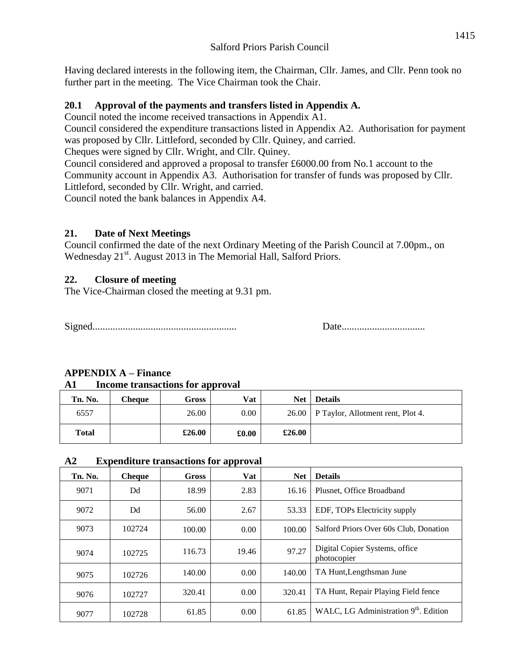Having declared interests in the following item, the Chairman, Cllr. James, and Cllr. Penn took no further part in the meeting. The Vice Chairman took the Chair.

#### **20.1 Approval of the payments and transfers listed in Appendix A.**

Council noted the income received transactions in Appendix A1.

Council considered the expenditure transactions listed in Appendix A2. Authorisation for payment was proposed by Cllr. Littleford, seconded by Cllr. Quiney, and carried.

Cheques were signed by Cllr. Wright, and Cllr. Quiney.

Council considered and approved a proposal to transfer £6000.00 from No.1 account to the Community account in Appendix A3. Authorisation for transfer of funds was proposed by Cllr. Littleford, seconded by Cllr. Wright, and carried.

Council noted the bank balances in Appendix A4.

#### **21. Date of Next Meetings**

Council confirmed the date of the next Ordinary Meeting of the Parish Council at 7.00pm., on Wednesday 21<sup>st</sup>. August 2013 in The Memorial Hall, Salford Priors.

#### **22. Closure of meeting**

The Vice-Chairman closed the meeting at 9.31 pm.

Signed......................................................... Date.................................

### **APPENDIX A – Finance**

#### **A1 Income transactions for approval**

| Tn. No.      | Cheaue | Gross  | Vat   | <b>Net</b> | <b>Details</b>                            |
|--------------|--------|--------|-------|------------|-------------------------------------------|
| 6557         |        | 26.00  | 0.00  |            | 26.00   P Taylor, Allotment rent, Plot 4. |
| <b>Total</b> |        | £26.00 | £0.00 | £26.00     |                                           |

#### **A2 Expenditure transactions for approval**

| Tn. No. | <b>Cheque</b> | <b>Gross</b> | . .<br>Vat | <b>Net</b> | <b>Details</b>                                    |
|---------|---------------|--------------|------------|------------|---------------------------------------------------|
| 9071    | Dd            | 18.99        | 2.83       | 16.16      | Plusnet, Office Broadband                         |
| 9072    | Dd            | 56.00        | 2.67       | 53.33      | EDF, TOPs Electricity supply                      |
| 9073    | 102724        | 100.00       | 0.00       | 100.00     | Salford Priors Over 60s Club, Donation            |
| 9074    | 102725        | 116.73       | 19.46      | 97.27      | Digital Copier Systems, office<br>photocopier     |
| 9075    | 102726        | 140.00       | 0.00       | 140.00     | TA Hunt, Lengthsman June                          |
| 9076    | 102727        | 320.41       | 0.00       | 320.41     | TA Hunt, Repair Playing Field fence               |
| 9077    | 102728        | 61.85        | 0.00       | 61.85      | WALC, LG Administration 9 <sup>th</sup> . Edition |